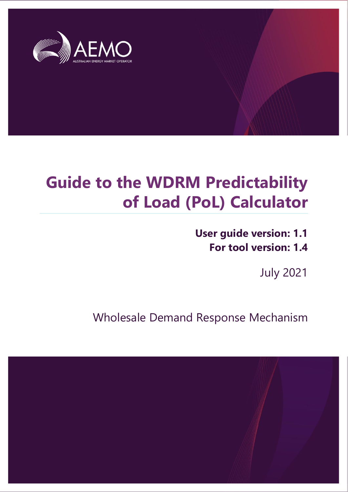

### **Guide to the WDRM Predictability of Load (PoL) Calculator**

**User guide version: 1.1 For tool version: 1.4**

July 2021

Wholesale Demand Response Mechanism

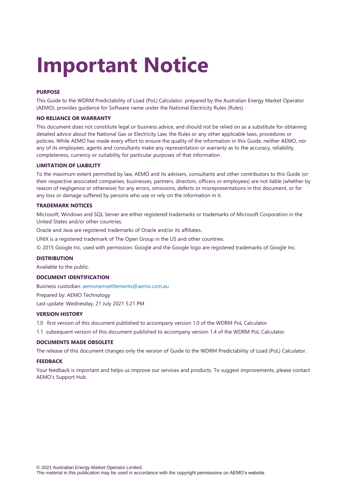# **Important Notice**

#### **PURPOSE**

This Guide to the WDRM Predictability of Load (PoL) Calculator, prepared by the Australian Energy Market Operator (AEMO), provides guidance for Software name under the National Electricity Rules (Rules).

#### **NO RELIANCE OR WARRANTY**

This document does not constitute legal or business advice, and should not be relied on as a substitute for obtaining detailed advice about the National Gas or Electricity Law, the Rules or any other applicable laws, procedures or policies. While AEMO has made every effort to ensure the quality of the information in this Guide, neither AEMO, nor any of its employees, agents and consultants make any representation or warranty as to the accuracy, reliability, completeness, currency or suitability for particular purposes of that information.

#### **LIMITATION OF LIABILITY**

To the maximum extent permitted by law, AEMO and its advisers, consultants and other contributors to this Guide (or their respective associated companies, businesses, partners, directors, officers or employees) are not liable (whether by reason of negligence or otherwise) for any errors, omissions, defects or misrepresentations in this document, or for any loss or damage suffered by persons who use or rely on the information in it.

#### **TRADEMARK NOTICES**

Microsoft, Windows and SQL Server are either registered trademarks or trademarks of Microsoft Corporation in the United States and/or other countries.

Oracle and Java are registered trademarks of Oracle and/or its affiliates.

UNIX is a registered trademark of The Open Group in the US and other countries.

© 2015 Google Inc, used with permission. Google and the Google logo are registered trademarks of Google Inc.

#### **DISTRIBUTION**

Available to the public.

#### **DOCUMENT IDENTIFICATION**

Business custodian: [aemonemsettlements@aemo.com.au](mailto:aemonemsettlements@aemo.com.au)

Prepared by: AEMO Technology Last update: Wednesday, 21 July 2021 5:21 PM

#### **VERSION HISTORY**

1.0 first version of this document published to accompany version 1.0 of the WDRM PoL Calculator

1.1 subsequent version of this document published to accompany version 1.4 of the WDRM PoL Calculator

#### **DOCUMENTS MADE OBSOLETE**

The release of this document changes only the version of Guide to the WDRM Predictability of Load (PoL) Calculator.

#### **FEEDBACK**

Your feedback is important and helps us improve our services and products. To suggest improvements, please contact AEMO's Support Hub.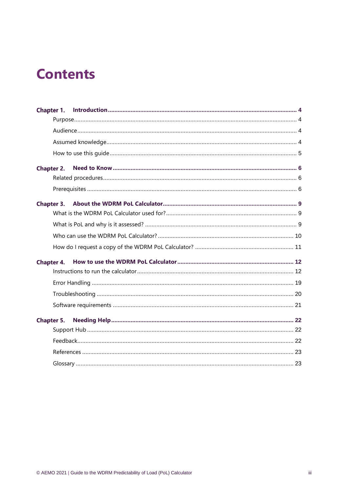### **Contents**

| Chapter 1.        |  |
|-------------------|--|
|                   |  |
|                   |  |
|                   |  |
|                   |  |
| Chapter 2.        |  |
|                   |  |
|                   |  |
|                   |  |
|                   |  |
|                   |  |
|                   |  |
|                   |  |
| Chapter 4.        |  |
|                   |  |
|                   |  |
|                   |  |
|                   |  |
| <b>Chapter 5.</b> |  |
|                   |  |
|                   |  |
|                   |  |
|                   |  |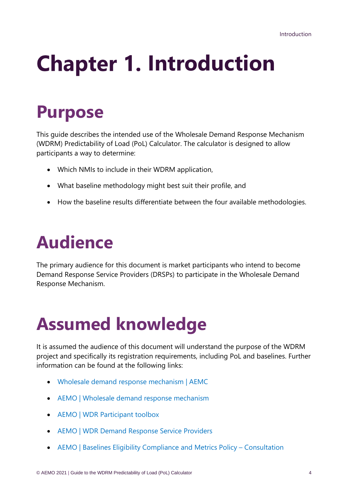# <span id="page-3-0"></span>**Chapter 1. Introduction**

### <span id="page-3-1"></span>**Purpose**

This guide describes the intended use of the Wholesale Demand Response Mechanism (WDRM) Predictability of Load (PoL) Calculator. The calculator is designed to allow participants a way to determine:

- Which NMIs to include in their WDRM application,
- What baseline methodology might best suit their profile, and
- <span id="page-3-2"></span>• How the baseline results differentiate between the four available methodologies.

### **Audience**

The primary audience for this document is market participants who intend to become Demand Response Service Providers (DRSPs) to participate in the Wholesale Demand Response Mechanism.

### <span id="page-3-3"></span>**Assumed knowledge**

It is assumed the audience of this document will understand the purpose of the WDRM project and specifically its registration requirements, including PoL and baselines. Further information can be found at the following links:

- [Wholesale demand response mechanism | AEMC](https://www.aemc.gov.au/rule-changes/wholesale-demand-response-mechanism)
- [AEMO | Wholesale demand response mechanism](https://aemo.com.au/initiatives/trials-and-initiatives/wholesale-demand-response-mechanism#:~:text=Wholesale%20demand%20response%20mechanism.%20AEMO%20is%20working%20with,the%20WDR%20mechanism%20to%20start%20on%2024%20)
- [AEMO | WDR Participant toolbox](https://aemo.com.au/initiatives/trials-and-initiatives/wholesale-demand-response-mechanism/wdr-participant-toolbox)
- [AEMO | WDR Demand Response Service Providers](https://aemo.com.au/initiatives/trials-and-initiatives/wholesale-demand-response-mechanism/wdr-participant-toolbox/wdr-drsp)
- [AEMO | Baselines Eligibility Compliance and Metrics Policy](https://aemo.com.au/consultations/current-and-closed-consultations/wdrm-becm-policy)  Consultation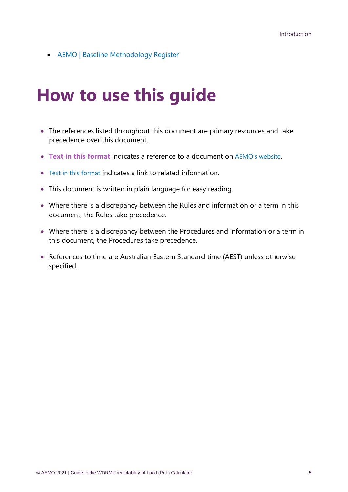<span id="page-4-0"></span>• [AEMO | Baseline Methodology Register](https://aemo.com.au/initiatives/trials-and-initiatives/wholesale-demand-response-mechanism/wdr-participant-toolbox/wdr-baseline-methodology-register)

### **How to use this guide**

- The references listed throughout this document are primary resources and take precedence over this document.
- **Text in this format** indicates a reference to a document on [AEMO's website](http://www.aemo.com.au/).
- Text in this format indicates a link to related information.
- This document is written in plain language for easy reading.
- Where there is a discrepancy between the Rules and information or a term in this document, the Rules take precedence.
- Where there is a discrepancy between the Procedures and information or a term in this document, the Procedures take precedence.
- References to time are Australian Eastern Standard time (AEST) unless otherwise specified.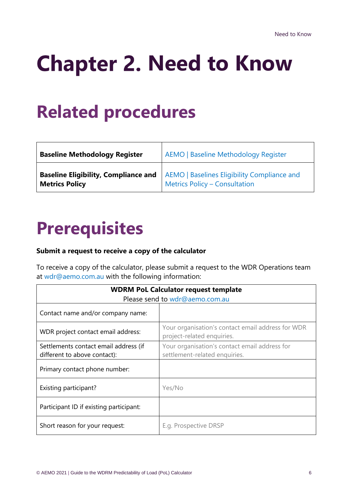# <span id="page-5-0"></span>**Chapter 2. Need to Know**

### <span id="page-5-1"></span>**Related procedures**

| <b>Baseline Methodology Register</b> | <b>AEMO   Baseline Methodology Register</b>                                                                                |
|--------------------------------------|----------------------------------------------------------------------------------------------------------------------------|
| <b>Metrics Policy</b>                | <b>Baseline Eligibility, Compliance and</b>   AEMO   Baselines Eligibility Compliance and<br>Metrics Policy - Consultation |

### <span id="page-5-2"></span>**Prerequisites**

#### **Submit a request to receive a copy of the calculator**

To receive a copy of the calculator, please submit a request to the WDR Operations team at [wdr@aemo.com.au](mailto:wdr@aemo.com.au) with the following information:

| <b>WDRM PoL Calculator request template</b><br>Please send to wdr@aemo.com.au |                                                                                 |  |
|-------------------------------------------------------------------------------|---------------------------------------------------------------------------------|--|
| Contact name and/or company name:                                             |                                                                                 |  |
| WDR project contact email address:                                            | Your organisation's contact email address for WDR<br>project-related enquiries. |  |
| Settlements contact email address (if<br>different to above contact):         | Your organisation's contact email address for<br>settlement-related enquiries.  |  |
| Primary contact phone number:                                                 |                                                                                 |  |
| Existing participant?                                                         | Yes/No                                                                          |  |
| Participant ID if existing participant:                                       |                                                                                 |  |
| Short reason for your request:                                                | E.g. Prospective DRSP                                                           |  |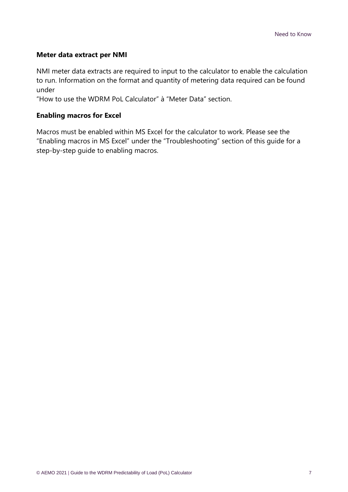#### **Meter data extract per NMI**

NMI meter data extracts are required to input to the calculator to enable the calculation to run. Information on the format and quantity of metering data required can be found under

"How to use the WDRM PoL Calculator" à "Meter Data" section.

#### **Enabling macros for Excel**

Macros must be enabled within MS Excel for the calculator to work. Please see the "Enabling macros in MS Excel" under the "Troubleshooting" section of this guide for a step-by-step guide to enabling macros.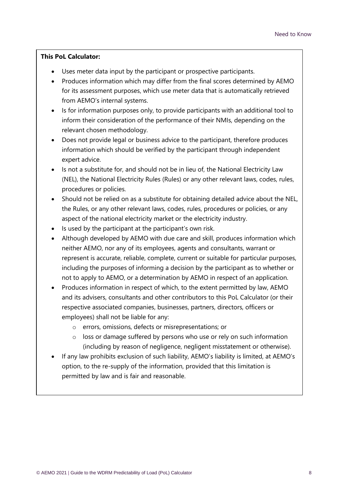#### **This PoL Calculator:**

- Uses meter data input by the participant or prospective participants.
- Produces information which may differ from the final scores determined by AEMO for its assessment purposes, which use meter data that is automatically retrieved from AEMO's internal systems.
- Is for information purposes only, to provide participants with an additional tool to inform their consideration of the performance of their NMIs, depending on the relevant chosen methodology.
- Does not provide legal or business advice to the participant, therefore produces information which should be verified by the participant through independent expert advice.
- Is not a substitute for, and should not be in lieu of, the National Electricity Law (NEL), the National Electricity Rules (Rules) or any other relevant laws, codes, rules, procedures or policies.
- Should not be relied on as a substitute for obtaining detailed advice about the NEL, the Rules, or any other relevant laws, codes, rules, procedures or policies, or any aspect of the national electricity market or the electricity industry.
- Is used by the participant at the participant's own risk.
- Although developed by AEMO with due care and skill, produces information which neither AEMO, nor any of its employees, agents and consultants, warrant or represent is accurate, reliable, complete, current or suitable for particular purposes, including the purposes of informing a decision by the participant as to whether or not to apply to AEMO, or a determination by AEMO in respect of an application.
- Produces information in respect of which, to the extent permitted by law, AEMO and its advisers, consultants and other contributors to this PoL Calculator (or their respective associated companies, businesses, partners, directors, officers or employees) shall not be liable for any:
	- o errors, omissions, defects or misrepresentations; or
	- o loss or damage suffered by persons who use or rely on such information (including by reason of negligence, negligent misstatement or otherwise).
- If any law prohibits exclusion of such liability, AEMO's liability is limited, at AEMO's option, to the re-supply of the information, provided that this limitation is permitted by law and is fair and reasonable.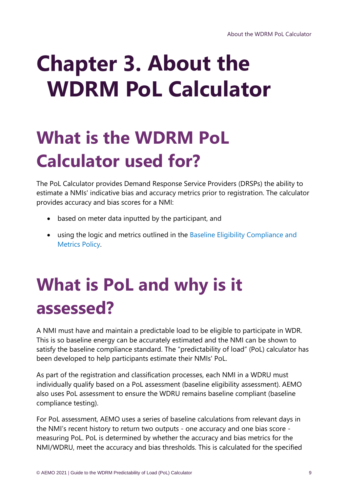# <span id="page-8-0"></span>**Chapter 3. About the WDRM PoL Calculator**

## <span id="page-8-1"></span>**What is the WDRM PoL Calculator used for?**

The PoL Calculator provides Demand Response Service Providers (DRSPs) the ability to estimate a NMIs' indicative bias and accuracy metrics prior to registration. The calculator provides accuracy and bias scores for a NMI:

- based on meter data inputted by the participant, and
- using the logic and metrics outlined in the [Baseline Eligibility Compliance and](https://aemo.com.au/consultations/current-and-closed-consultations/wdrm-becm-policy)  [Metrics Policy.](https://aemo.com.au/consultations/current-and-closed-consultations/wdrm-becm-policy)

## <span id="page-8-2"></span>**What is PoL and why is it assessed?**

A NMI must have and maintain a predictable load to be eligible to participate in WDR. This is so baseline energy can be accurately estimated and the NMI can be shown to satisfy the baseline compliance standard. The "predictability of load" (PoL) calculator has been developed to help participants estimate their NMIs' PoL.

As part of the registration and classification processes, each NMI in a WDRU must individually qualify based on a PoL assessment (baseline eligibility assessment). AEMO also uses PoL assessment to ensure the WDRU remains baseline compliant (baseline compliance testing).

For PoL assessment, AEMO uses a series of baseline calculations from relevant days in the NMI's recent history to return two outputs - one accuracy and one bias score measuring PoL. PoL is determined by whether the accuracy and bias metrics for the NMI/WDRU, meet the accuracy and bias thresholds. This is calculated for the specified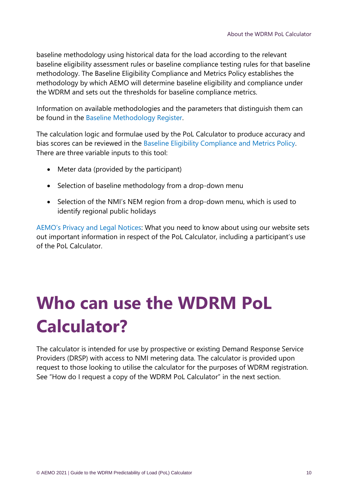baseline methodology using historical data for the load according to the relevant baseline eligibility assessment rules or baseline compliance testing rules for that baseline methodology. The Baseline Eligibility Compliance and Metrics Policy establishes the methodology by which AEMO will determine baseline eligibility and compliance under the WDRM and sets out the thresholds for baseline compliance metrics.

Information on available methodologies and the parameters that distinguish them can be found in the [Baseline Methodology Register.](https://aemo.com.au/initiatives/trials-and-initiatives/wholesale-demand-response-mechanism/wdr-participant-toolbox/wdr-baseline-methodology-register)

The calculation logic and formulae used by the PoL Calculator to produce accuracy and bias scores can be reviewed in the [Baseline Eligibility Compliance and Metrics Policy.](https://aemo.com.au/consultations/current-and-closed-consultations/wdrm-becm-policy) There are three variable inputs to this tool:

- Meter data (provided by the participant)
- Selection of baseline methodology from a drop-down menu
- Selection of the NMI's NEM region from a drop-down menu, which is used to identify regional public holidays

[AEMO's Privacy and Legal Notices](https://aemo.com.au/privacy-and-legal-notices): What you need to know about using our website sets out important information in respect of the PoL Calculator, including a participant's use of the PoL Calculator.

## <span id="page-9-0"></span>**Who can use the WDRM PoL Calculator?**

The calculator is intended for use by prospective or existing Demand Response Service Providers (DRSP) with access to NMI metering data. The calculator is provided upon request to those looking to utilise the calculator for the purposes of WDRM registration. See "How do I request a copy of the WDRM PoL Calculator" in the next section.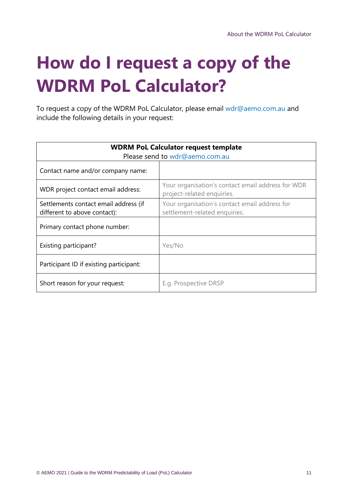## <span id="page-10-0"></span>**How do I request a copy of the WDRM PoL Calculator?**

To request a copy of the WDRM PoL Calculator, please email [wdr@aemo.com.au](mailto:wdr@aemo.com.au) and include the following details in your request:

| <b>WDRM PoL Calculator request template</b><br>Please send to wdr@aemo.com.au |                                                                                 |  |
|-------------------------------------------------------------------------------|---------------------------------------------------------------------------------|--|
| Contact name and/or company name:                                             |                                                                                 |  |
| WDR project contact email address:                                            | Your organisation's contact email address for WDR<br>project-related enquiries. |  |
| Settlements contact email address (if<br>different to above contact):         | Your organisation's contact email address for<br>settlement-related enquiries.  |  |
| Primary contact phone number:                                                 |                                                                                 |  |
| Existing participant?                                                         | Yes/No                                                                          |  |
| Participant ID if existing participant:                                       |                                                                                 |  |
| Short reason for your request:                                                | E.g. Prospective DRSP                                                           |  |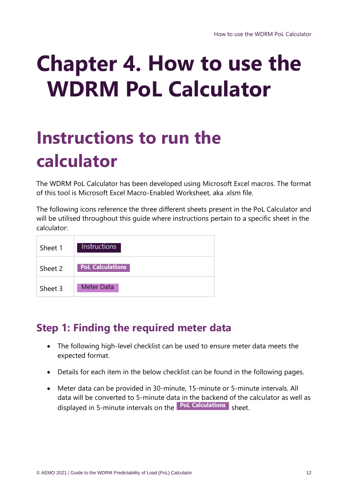# <span id="page-11-0"></span>**Chapter 4. How to use the WDRM PoL Calculator**

### <span id="page-11-1"></span>**Instructions to run the calculator**

The WDRM PoL Calculator has been developed using Microsoft Excel macros. The format of this tool is Microsoft Excel Macro-Enabled Worksheet, aka .xlsm file.

The following icons reference the three different sheets present in the PoL Calculator and will be utilised throughout this guide where instructions pertain to a specific sheet in the calculator:

| Sheet 1 | <b>Instructions</b>     |
|---------|-------------------------|
| Sheet 2 | <b>PoL Calculations</b> |
| Sheet 3 | Meter Data              |

#### **Step 1: Finding the required meter data**

- The following high-level checklist can be used to ensure meter data meets the expected format.
- Details for each item in the below checklist can be found in the following pages.
- Meter data can be provided in 30-minute, 15-minute or 5-minute intervals. All data will be converted to 5-minute data in the backend of the calculator as well as displayed in 5-minute intervals on the **PoL Calculations** sheet.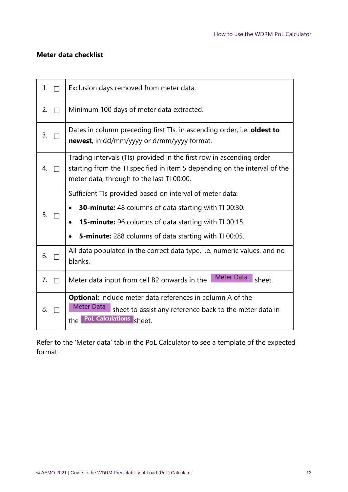#### **Meter data checklist**

| 1.<br>$\Box$ | Exclusion days removed from meter data.                                                                                                                                                                                                           |
|--------------|---------------------------------------------------------------------------------------------------------------------------------------------------------------------------------------------------------------------------------------------------|
| 2.<br>П      | Minimum 100 days of meter data extracted.                                                                                                                                                                                                         |
| 3.           | Dates in column preceding first Tls, in ascending order, i.e. oldest to<br><b>newest</b> , in dd/mm/yyyy or d/mm/yyyy format.                                                                                                                     |
| 4.<br>$\Box$ | Trading intervals (TIs) provided in the first row in ascending order<br>starting from the TI specified in item 5 depending on the interval of the<br>meter data, through to the last TI 00:00.                                                    |
| 5.           | Sufficient TIs provided based on interval of meter data:<br>30-minute: 48 columns of data starting with TI 00:30.<br><b>15-minute:</b> 96 columns of data starting with TI 00:15.<br><b>5-minute:</b> 288 columns of data starting with TI 00:05. |
| 6.           | All data populated in the correct data type, i.e. numeric values, and no<br>blanks.                                                                                                                                                               |
| 7.<br>П      | Meter Data<br>Meter data input from cell B2 onwards in the<br>sheet.                                                                                                                                                                              |
| 8.           | <b>Optional:</b> include meter data references in column A of the<br>Meter Data<br>sheet to assist any reference back to the meter data in<br><b>PoL Calculations</b><br>sheet.<br>the                                                            |

Refer to the 'Meter data' tab in the PoL Calculator to see a template of the expected format.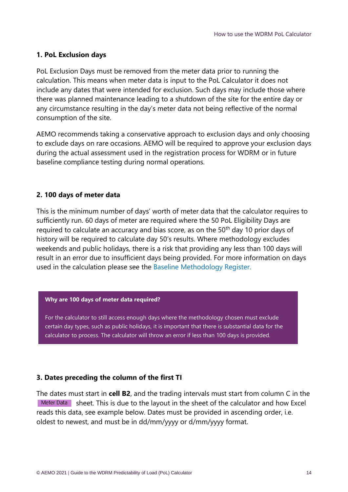#### **1. PoL Exclusion days**

PoL Exclusion Days must be removed from the meter data prior to running the calculation. This means when meter data is input to the PoL Calculator it does not include any dates that were intended for exclusion. Such days may include those where there was planned maintenance leading to a shutdown of the site for the entire day or any circumstance resulting in the day's meter data not being reflective of the normal consumption of the site.

AEMO recommends taking a conservative approach to exclusion days and only choosing to exclude days on rare occasions. AEMO will be required to approve your exclusion days during the actual assessment used in the registration process for WDRM or in future baseline compliance testing during normal operations.

#### **2. 100 days of meter data**

This is the minimum number of days' worth of meter data that the calculator requires to sufficiently run. 60 days of meter are required where the 50 PoL Eligibility Days are required to calculate an accuracy and bias score, as on the 50<sup>th</sup> day 10 prior days of history will be required to calculate day 50's results. Where methodology excludes weekends and public holidays, there is a risk that providing any less than 100 days will result in an error due to insufficient days being provided. For more information on days used in the calculation please see the [Baseline Methodology Register.](https://aemo.com.au/initiatives/trials-and-initiatives/wholesale-demand-response-mechanism/wdr-participant-toolbox/wdr-baseline-methodology-register)

#### **Why are 100 days of meter data required?**

For the calculator to still access enough days where the methodology chosen must exclude certain day types, such as public holidays, it is important that there is substantial data for the calculator to process. The calculator will throw an error if less than 100 days is provided.

#### **3. Dates preceding the column of the first TI**

The dates must start in **cell B2**, and the trading intervals must start from column C in the I Meter Data Sheet. This is due to the layout in the sheet of the calculator and how Excel reads this data, see example below. Dates must be provided in ascending order, i.e. oldest to newest, and must be in dd/mm/yyyy or d/mm/yyyy format.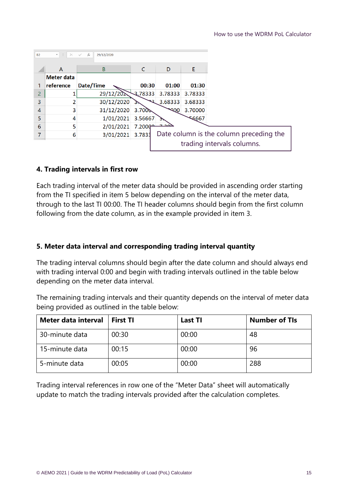| <b>B2</b> | $\mathbf{v} = \mathbf{1} + \mathbf{1}$<br>$\times$ | $f_x$<br>29/12/2020<br>$\checkmark$ |                      |             |         |                                         |
|-----------|----------------------------------------------------|-------------------------------------|----------------------|-------------|---------|-----------------------------------------|
|           | A                                                  | В                                   | C                    | D           | Е       |                                         |
|           | <b>Meter data</b>                                  |                                     |                      |             |         |                                         |
|           | reference                                          | Date/Time                           | 00:30                | 01:00       | 01:30   |                                         |
| 2         |                                                    | 29/12/20                            | 3.78333              | 3.78333     | 3.78333 |                                         |
| 3         |                                                    | 30/12/2020                          | ີ                    | 3.68333     | 3.68333 |                                         |
| 4         | 3                                                  | 31/12/2020                          | 3.700                | <b>PODE</b> | 3.70000 |                                         |
| 5         | 4                                                  | 1/01/2021                           | 3.56667              |             | 56667   |                                         |
| 6         | 5                                                  | 2/01/2021                           | 7.2000 <sup>-1</sup> | حمصت        |         |                                         |
|           | 6                                                  | 3/01/2021                           | 3.7833               |             |         | Date column is the column preceding the |
|           |                                                    |                                     |                      |             |         | trading intervals columns.              |

#### **4. Trading intervals in first row**

Each trading interval of the meter data should be provided in ascending order starting from the TI specified in item 5 below depending on the interval of the meter data, through to the last TI 00:00. The TI header columns should begin from the first column following from the date column, as in the example provided in item 3.

#### **5. Meter data interval and corresponding trading interval quantity**

The trading interval columns should begin after the date column and should always end with trading interval 0:00 and begin with trading intervals outlined in the table below depending on the meter data interval.

The remaining trading intervals and their quantity depends on the interval of meter data being provided as outlined in the table below:

| Meter data interval | <b>First TI</b> | <b>Last TI</b> | <b>Number of TIs</b> |
|---------------------|-----------------|----------------|----------------------|
| 30-minute data      | 00:30           | 00:00          | 48                   |
| 15-minute data      | 00:15           | 00:00          | 96                   |
| 5-minute data       | 00:05           | 00:00          | 288                  |

Trading interval references in row one of the "Meter Data" sheet will automatically update to match the trading intervals provided after the calculation completes.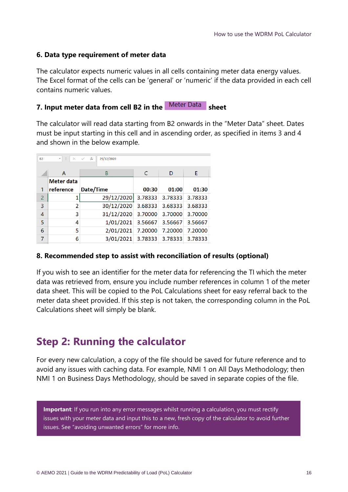#### **6. Data type requirement of meter data**

The calculator expects numeric values in all cells containing meter data energy values. The Excel format of the cells can be 'general' or 'numeric' if the data provided in each cell contains numeric values.

#### **7. Input meter data from cell B2 in the Meter Data sheet**

The calculator will read data starting from B2 onwards in the "Meter Data" sheet. Dates must be input starting in this cell and in ascending order, as specified in items 3 and 4 and shown in the below example.

| <b>B2</b>      | Đ<br>$\times$<br>$\overline{\mathbf{v}}$ | fx<br>29/12/2020 |              |         |         |
|----------------|------------------------------------------|------------------|--------------|---------|---------|
|                | A                                        | B                | $\mathsf{C}$ | D       | E       |
|                | Meter data                               |                  |              |         |         |
| 1              | reference                                | Date/Time        | 00:30        | 01:00   | 01:30   |
| $\overline{2}$ |                                          | 29/12/2020       | 3.78333      | 3.78333 | 3.78333 |
| 3              | $\overline{2}$                           | 30/12/2020       | 3.68333      | 3.68333 | 3.68333 |
| $\overline{4}$ | 3                                        | 31/12/2020       | 3.70000      | 3.70000 | 3.70000 |
| 5              | 4                                        | 1/01/2021        | 3.56667      | 3.56667 | 3.56667 |
| 6              | 5                                        | 2/01/2021        | 7.20000      | 7.20000 | 7.20000 |
| 7              | 6                                        | 3/01/2021        | 3.78333      | 3.78333 | 3.78333 |

#### **8. Recommended step to assist with reconciliation of results (optional)**

If you wish to see an identifier for the meter data for referencing the TI which the meter data was retrieved from, ensure you include number references in column 1 of the meter data sheet. This will be copied to the PoL Calculations sheet for easy referral back to the meter data sheet provided. If this step is not taken, the corresponding column in the PoL Calculations sheet will simply be blank.

#### **Step 2: Running the calculator**

For every new calculation, a copy of the file should be saved for future reference and to avoid any issues with caching data. For example, NMI 1 on All Days Methodology; then NMI 1 on Business Days Methodology, should be saved in separate copies of the file.

**Important**: If you run into any error messages whilst running a calculation, you must rectify issues with your meter data and input this to a new, fresh copy of the calculator to avoid further issues. See "avoiding unwanted errors" for more info.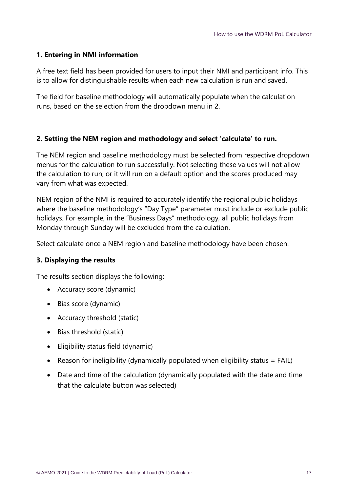#### **1. Entering in NMI information**

A free text field has been provided for users to input their NMI and participant info. This is to allow for distinguishable results when each new calculation is run and saved.

The field for baseline methodology will automatically populate when the calculation runs, based on the selection from the dropdown menu in 2.

#### **2. Setting the NEM region and methodology and select 'calculate' to run.**

The NEM region and baseline methodology must be selected from respective dropdown menus for the calculation to run successfully. Not selecting these values will not allow the calculation to run, or it will run on a default option and the scores produced may vary from what was expected.

NEM region of the NMI is required to accurately identify the regional public holidays where the baseline methodology's "Day Type" parameter must include or exclude public holidays. For example, in the "Business Days" methodology, all public holidays from Monday through Sunday will be excluded from the calculation.

Select calculate once a NEM region and baseline methodology have been chosen.

#### **3. Displaying the results**

The results section displays the following:

- Accuracy score (dynamic)
- Bias score (dynamic)
- Accuracy threshold (static)
- Bias threshold (static)
- Eligibility status field (dynamic)
- Reason for ineligibility (dynamically populated when eligibility status = FAIL)
- Date and time of the calculation (dynamically populated with the date and time that the calculate button was selected)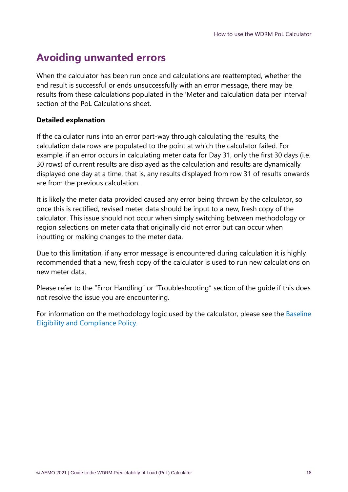#### **Avoiding unwanted errors**

When the calculator has been run once and calculations are reattempted, whether the end result is successful or ends unsuccessfully with an error message, there may be results from these calculations populated in the 'Meter and calculation data per interval' section of the PoL Calculations sheet.

#### **Detailed explanation**

If the calculator runs into an error part-way through calculating the results, the calculation data rows are populated to the point at which the calculator failed. For example, if an error occurs in calculating meter data for Day 31, only the first 30 days (i.e. 30 rows) of current results are displayed as the calculation and results are dynamically displayed one day at a time, that is, any results displayed from row 31 of results onwards are from the previous calculation.

It is likely the meter data provided caused any error being thrown by the calculator, so once this is rectified, revised meter data should be input to a new, fresh copy of the calculator. This issue should not occur when simply switching between methodology or region selections on meter data that originally did not error but can occur when inputting or making changes to the meter data.

Due to this limitation, if any error message is encountered during calculation it is highly recommended that a new, fresh copy of the calculator is used to run new calculations on new meter data.

Please refer to the "Error Handling" or "Troubleshooting" section of the guide if this does not resolve the issue you are encountering.

For information on the methodology logic used by the calculator, please see the [Baseline](https://aemo.com.au/consultations/current-and-closed-consultations/wdrm-becm-policy)  [Eligibility and Compliance Policy.](https://aemo.com.au/consultations/current-and-closed-consultations/wdrm-becm-policy)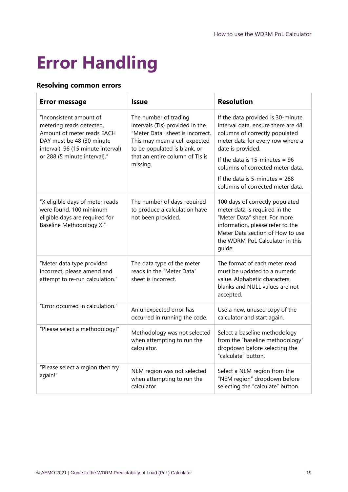### <span id="page-18-0"></span>**Error Handling**

#### **Resolving common errors**

| <b>Error message</b>                                                                                                                                                                 | <b>Issue</b>                                                                                                                                                                                     | <b>Resolution</b>                                                                                                                                                                                                     |
|--------------------------------------------------------------------------------------------------------------------------------------------------------------------------------------|--------------------------------------------------------------------------------------------------------------------------------------------------------------------------------------------------|-----------------------------------------------------------------------------------------------------------------------------------------------------------------------------------------------------------------------|
| "Inconsistent amount of<br>metering reads detected.<br>Amount of meter reads EACH<br>DAY must be 48 (30 minute<br>interval), 96 (15 minute interval)<br>or 288 (5 minute interval)." | The number of trading<br>intervals (TIs) provided in the<br>"Meter Data" sheet is incorrect.<br>This may mean a cell expected<br>to be populated is blank, or<br>that an entire column of TIs is | If the data provided is 30-minute<br>interval data, ensure there are 48<br>columns of correctly populated<br>meter data for every row where a<br>date is provided.<br>If the data is 15-minutes = $96$                |
|                                                                                                                                                                                      | missing.                                                                                                                                                                                         | columns of corrected meter data.<br>If the data is 5-minutes = $288$                                                                                                                                                  |
|                                                                                                                                                                                      |                                                                                                                                                                                                  | columns of corrected meter data.                                                                                                                                                                                      |
| "X eligible days of meter reads<br>were found. 100 minimum<br>eligible days are required for<br><b>Baseline Methodology X."</b>                                                      | The number of days required<br>to produce a calculation have<br>not been provided.                                                                                                               | 100 days of correctly populated<br>meter data is required in the<br>"Meter Data" sheet. For more<br>information, please refer to the<br>Meter Data section of How to use<br>the WDRM PoL Calculator in this<br>quide. |
| "Meter data type provided<br>incorrect, please amend and<br>attempt to re-run calculation."                                                                                          | The data type of the meter<br>reads in the "Meter Data"<br>sheet is incorrect.                                                                                                                   | The format of each meter read<br>must be updated to a numeric<br>value. Alphabetic characters,<br>blanks and NULL values are not<br>accepted.                                                                         |
| "Error occurred in calculation."                                                                                                                                                     | An unexpected error has<br>occurred in running the code.                                                                                                                                         | Use a new, unused copy of the<br>calculator and start again.                                                                                                                                                          |
| "Please select a methodology!"                                                                                                                                                       | Methodology was not selected<br>when attempting to run the<br>calculator.                                                                                                                        | Select a baseline methodology<br>from the "baseline methodology"<br>dropdown before selecting the<br>"calculate" button.                                                                                              |
| "Please select a region then try<br>again!"                                                                                                                                          | NEM region was not selected<br>when attempting to run the<br>calculator.                                                                                                                         | Select a NEM region from the<br>"NEM region" dropdown before<br>selecting the "calculate" button.                                                                                                                     |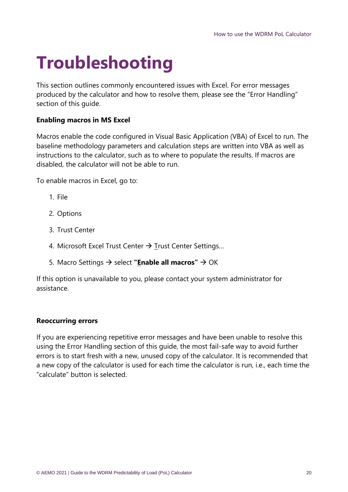### <span id="page-19-0"></span>**Troubleshooting**

This section outlines commonly encountered issues with Excel. For error messages produced by the calculator and how to resolve them, please see the "Error Handling" section of this guide.

#### **Enabling macros in MS Excel**

Macros enable the code configured in Visual Basic Application (VBA) of Excel to run. The baseline methodology parameters and calculation steps are written into VBA as well as instructions to the calculator, such as to where to populate the results. If macros are disabled, the calculator will not be able to run.

To enable macros in Excel, go to:

- 1. File
- 2. Options
- 3. Trust Center
- 4. Microsoft Excel Trust Center → Trust Center Settings...
- 5. Macro Settings → select **"Enable all macros"** → OK

If this option is unavailable to you, please contact your system administrator for assistance.

#### **Reoccurring errors**

If you are experiencing repetitive error messages and have been unable to resolve this using the Error Handling section of this guide, the most fail-safe way to avoid further errors is to start fresh with a new, unused copy of the calculator. It is recommended that a new copy of the calculator is used for each time the calculator is run, i.e., each time the "calculate" button is selected.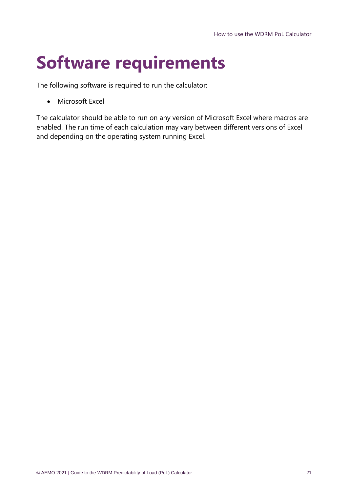## <span id="page-20-0"></span>**Software requirements**

The following software is required to run the calculator:

• Microsoft Excel

The calculator should be able to run on any version of Microsoft Excel where macros are enabled. The run time of each calculation may vary between different versions of Excel and depending on the operating system running Excel.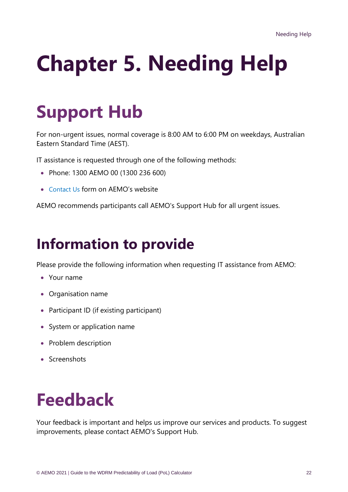# <span id="page-21-0"></span>**Chapter 5. Needing Help**

### <span id="page-21-1"></span>**Support Hub**

For non-urgent issues, normal coverage is 8:00 AM to 6:00 PM on weekdays, Australian Eastern Standard Time (AEST).

IT assistance is requested through one of the following methods:

- Phone: 1300 AEMO 00 (1300 236 600)
- [Contact Us](http://aemo.com.au/Contact-us) form on AEMO's website

AEMO recommends participants call AEMO's Support Hub for all urgent issues.

### **Information to provide**

Please provide the following information when requesting IT assistance from AEMO:

- Your name
- Organisation name
- Participant ID (if existing participant)
- System or application name
- Problem description
- <span id="page-21-2"></span>• Screenshots

### **Feedback**

Your feedback is important and helps us improve our services and products. To suggest improvements, please contact AEMO's Support Hub.